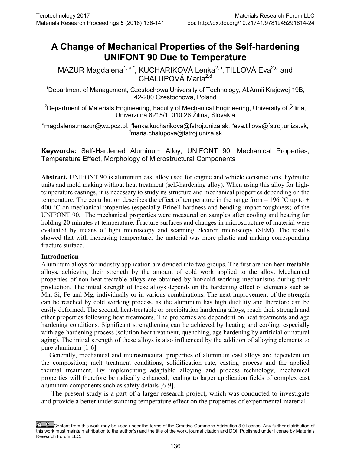# **A Change of Mechanical Properties of the Self-hardening UNIFONT 90 Due to Temperature**

MAZUR Magdalena<sup>1, a \*</sup>, KUCHARIKOVÁ Lenka<sup>2,b</sup>, TILLOVÁ Eva<sup>2,c</sup> and CHALUPOVÁ Mária<sup>2,d</sup>

<sup>1</sup>Department of Management, Czestochowa University of Technology, Al.Armii Krajowej 19B, 42-200 Czestochowa, Poland

 $^2$ Department of Materials Engineering, Faculty of Mechanical Engineering, University of Žilina, Univerzitná 8215/1, 010 26 Žilina, Slovakia

<sup>a</sup>magdalena.mazur@wz.pcz.pl, <sup>b</sup>lenka.kucharikova@fstroj.uniza.sk, <sup>c</sup>eva.tillova@fstroj.uniza.sk,<br><sup>d</sup>maria.chalupova@fstroj.uniza.sk

**Keywords:** Self-Hardened Aluminum Alloy, UNIFONT 90, Mechanical Properties, Temperature Effect, Morphology of Microstructural Components

**Abstract.** UNIFONT 90 is aluminum cast alloy used for engine and vehicle constructions, hydraulic units and mold making without heat treatment (self-hardening alloy). When using this alloy for hightemperature castings, it is necessary to study its structure and mechanical properties depending on the temperature. The contribution describes the effect of temperature in the range from  $-196$  °C up to  $+$ 400 °C on mechanical properties (especially Brinell hardness and bending impact toughness) of the UNIFONT 90. The mechanical properties were measured on samples after cooling and heating for holding 20 minutes at temperature. Fracture surfaces and changes in microstructure of material were evaluated by means of light microscopy and scanning electron microscopy (SEM). The results showed that with increasing temperature, the material was more plastic and making corresponding fracture surface.

### **Introduction**

Aluminum alloys for industry application are divided into two groups. The first are non heat-treatable alloys, achieving their strength by the amount of cold work applied to the alloy. Mechanical properties of non heat-treatable alloys are obtained by hot/cold working mechanisms during their production. The initial strength of these alloys depends on the hardening effect of elements such as Mn, Si, Fe and Mg, individually or in various combinations. The next improvement of the strength can be reached by cold working process, as the aluminum has high ductility and therefore can be easily deformed. The second, heat-treatable or precipitation hardening alloys, reach their strength and other properties following heat treatments. The properties are dependent on heat treatments and age hardening conditions. Significant strengthening can be achieved by heating and cooling, especially with age-hardening process (solution heat treatment, quenching, age hardening by artificial or natural aging). The initial strength of these alloys is also influenced by the addition of alloying elements to pure aluminum [1-6].

Generally, mechanical and microstructural properties of aluminum cast alloys are dependent on the composition; melt treatment conditions, solidification rate, casting process and the applied thermal treatment. By implementing adaptable alloying and process technology, mechanical properties will therefore be radically enhanced, leading to larger application fields of complex cast aluminum components such as safety details [6-9].

The present study is a part of a larger research project, which was conducted to investigate and provide a better understanding temperature effect on the properties of experimental material.

Content from this work may be used under the terms of the Creative Commons Attribution 3.0 license. Any further distribution of this work must maintain attribution to the author(s) and the title of the work, journal citation and DOI. Published under license by Materials Research Forum LLC.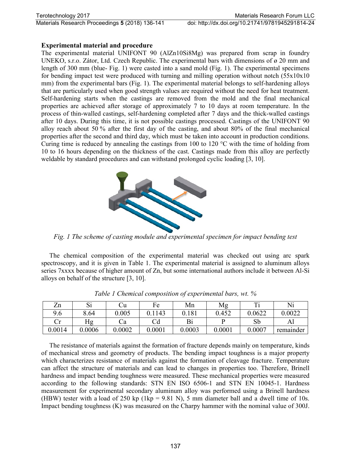## **Experimental material and procedure**

The experimental material UNIFONT 90 (AlZn10Si8Mg) was prepared from scrap in foundry UNEKO, s.r.o. Zátor, Ltd. Czech Republic. The experimental bars with dimensions of ø 20 mm and length of 300 mm (blue- Fig. 1) were casted into a sand mold (Fig. 1). The experimental specimens for bending impact test were produced with turning and milling operation without notch (55x10x10 mm) from the experimental bars (Fig. 1). The experimental material belongs to self-hardening alloys that are particularly used when good strength values are required without the need for heat treatment. Self-hardening starts when the castings are removed from the mold and the final mechanical properties are achieved after storage of approximately 7 to 10 days at room temperature. In the process of thin-walled castings, self-hardening completed after 7 days and the thick-walled castings after 10 days. During this time, it is not possible castings processed. Castings of the UNIFONT 90 alloy reach about 50 % after the first day of the casting, and about 80% of the final mechanical properties after the second and third day, which must be taken into account in production conditions. Curing time is reduced by annealing the castings from 100 to 120 °C with the time of holding from 10 to 16 hours depending on the thickness of the cast. Castings made from this alloy are perfectly weldable by standard procedures and can withstand prolonged cyclic loading [3, 10].



*Fig. 1 The scheme of casting module and experimental specimen for impact bending test* 

The chemical composition of the experimental material was checked out using arc spark spectroscopy, and it is given in Table 1. The experimental material is assigned to aluminum alloys series 7xxxx because of higher amount of Zn, but some international authors include it between Al-Si alloys on behalf of the structure [3, 10].

| Zn        | ບ⊥     | Сu        | Fe     | Mn     | Mg     | Ē.     | Ni        |
|-----------|--------|-----------|--------|--------|--------|--------|-----------|
| 9.6       | 8.64   | $0.005\,$ | 143    | 0.181  | 0.452  | 0.0622 | 0.0022    |
| . `ะ<br>U | Нg     | Сa        | Cd     |        |        | Sb     | Al        |
| 0.0014    | 0.0006 | 0.0002    | 0.0001 | 0.0003 | 0.0001 | 0.0007 | remainder |

*Table 1 Chemical composition of experimental bars, wt. %*

The resistance of materials against the formation of fracture depends mainly on temperature, kinds of mechanical stress and geometry of products. The bending impact toughness is a major property which characterizes resistance of materials against the formation of cleavage fracture. Temperature can affect the structure of materials and can lead to changes in properties too. Therefore, Brinell hardness and impact bending toughness were measured. These mechanical properties were measured according to the following standards: STN EN ISO 6506-1 and STN EN 10045-1. Hardness measurement for experimental secondary aluminum alloy was performed using a Brinell hardness (HBW) tester with a load of 250 kp (1kp = 9.81 N), 5 mm diameter ball and a dwell time of 10s. Impact bending toughness (K) was measured on the Charpy hammer with the nominal value of 300J.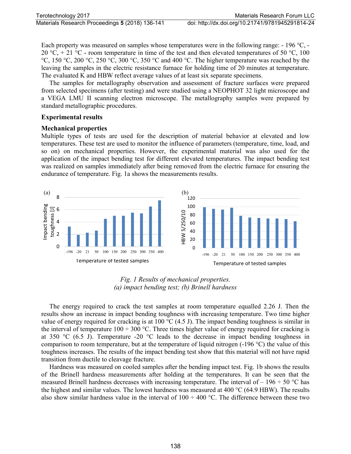Each property was measured on samples whose temperatures were in the following range: - 196 °C, - 20 °C, + 21 °C - room temperature in time of the test and then elevated temperatures of 50 °C, 100 °C, 150 °C, 200 °C, 250 °C, 300 °C, 350 °C and 400 °C. The higher temperature was reached by the leaving the samples in the electric resistance furnace for holding time of 20 minutes at temperature. The evaluated K and HBW reflect average values of at least six separate specimens.

The samples for metallography observation and assessment of fracture surfaces were prepared from selected specimens (after testing) and were studied using a NEOPHOT 32 light microscope and a VEGA LMU II scanning electron microscope. The metallography samples were prepared by standard metallographic procedures.

#### **Experimental results**

### **Mechanical properties**

Multiple types of tests are used for the description of material behavior at elevated and low temperatures. These test are used to monitor the influence of parameters (temperature, time, load, and so on) on mechanical properties. However, the experimental material was also used for the application of the impact bending test for different elevated temperatures. The impact bending test was realized on samples immediately after being removed from the electric furnace for ensuring the endurance of temperature. Fig. 1a shows the measurements results.



## *Fig. 1 Results of mechanical properties. (a) impact bending test; (b) Brinell hardness*

The energy required to crack the test samples at room temperature equalled 2.26 J. Then the results show an increase in impact bending toughness with increasing temperature. Two time higher value of energy required for cracking is at 100  $\rm{^{\circ}C}$  (4.5 J). The impact bending toughness is similar in the interval of temperature  $100 \div 300$  °C. Three times higher value of energy required for cracking is at 350 °C (6.5 J). Temperature -20 °C leads to the decrease in impact bending toughness in comparison to room temperature, but at the temperature of liquid nitrogen  $(-196 \degree C)$  the value of this toughness increases. The results of the impact bending test show that this material will not have rapid transition from ductile to cleavage fracture.

Hardness was measured on cooled samples after the bending impact test. Fig. 1b shows the results of the Brinell hardness measurements after holding at the temperatures. It can be seen that the measured Brinell hardness decreases with increasing temperature. The interval of  $-196 \div 50$  °C has the highest and similar values. The lowest hardness was measured at 400 °C (64.9 HBW). The results also show similar hardness value in the interval of  $100 \div 400$  °C. The difference between these two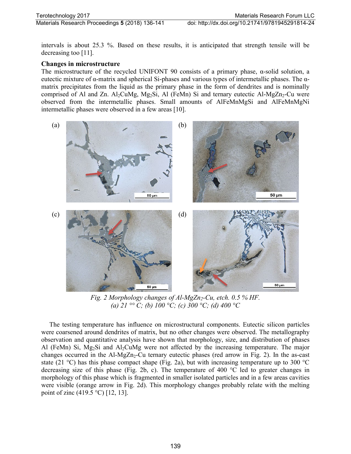intervals is about 25.3 %. Based on these results, it is anticipated that strength tensile will be decreasing too [11].

## **Changes in microstructure**

The microstructure of the recycled UNIFONT 90 consists of a primary phase, α-solid solution, a eutectic mixture of α-matrix and spherical Si-phases and various types of intermetallic phases. The αmatrix precipitates from the liquid as the primary phase in the form of dendrites and is nominally comprised of Al and Zn. Al<sub>2</sub>CuMg, Mg<sub>2</sub>Si, Al (FeMn) Si and ternary eutectic Al-MgZn<sub>2</sub>-Cu were observed from the intermetallic phases. Small amounts of AlFeMnMgSi and AlFeMnMgNi intermetallic phases were observed in a few areas [10].



*Fig. 2 Morphology changes of Al-MgZn<sub>2</sub>-Cu, etch. 0.5 % HF. (a) 21 °° C; (b) 100 °C; (c) 300 °C; (d) 400 °C*

The testing temperature has influence on microstructural components. Eutectic silicon particles were coarsened around dendrites of matrix, but no other changes were observed. The metallography observation and quantitative analysis have shown that morphology, size, and distribution of phases Al (FeMn) Si,  $Mg_2Si$  and  $Al_2CuMg$  were not affected by the increasing temperature. The major changes occurred in the Al-MgZn<sub>2</sub>-Cu ternary eutectic phases (red arrow in Fig. 2). In the as-cast state (21 °C) has this phase compact shape (Fig. 2a), but with increasing temperature up to 300 °C decreasing size of this phase (Fig. 2b, c). The temperature of 400  $\degree$ C led to greater changes in morphology of this phase which is fragmented in smaller isolated particles and in a few areas cavities were visible (orange arrow in Fig. 2d). This morphology changes probably relate with the melting point of zinc (419.5 °C) [12, 13].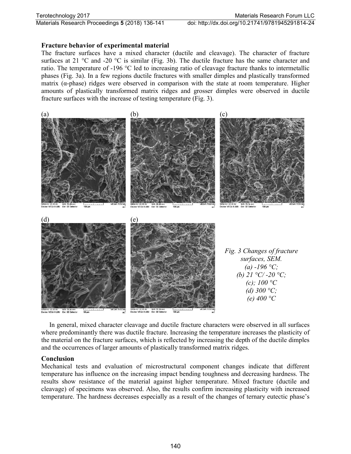#### Terotechnology 2017 **Materials Research Forum LLC** Materials Research Proceedings **5** (2018) 136-141 doi: http://dx.doi.org/10.21741/9781945291814-24

#### **Fracture behavior of experimental material**

The fracture surfaces have a mixed character (ductile and cleavage). The character of fracture surfaces at 21  $\degree$ C and -20  $\degree$ C is similar (Fig. 3b). The ductile fracture has the same character and ratio. The temperature of -196 °C led to increasing ratio of cleavage fracture thanks to intermetallic phases (Fig. 3a). In a few regions ductile fractures with smaller dimples and plastically transformed matrix ( $α$ -phase) ridges were observed in comparison with the state at room temperature. Higher amounts of plastically transformed matrix ridges and grosser dimples were observed in ductile fracture surfaces with the increase of testing temperature (Fig. 3).



In general, mixed character cleavage and ductile fracture characters were observed in all surfaces where predominantly there was ductile fracture. Increasing the temperature increases the plasticity of the material on the fracture surfaces, which is reflected by increasing the depth of the ductile dimples and the occurrences of larger amounts of plastically transformed matrix ridges.

### **Conclusion**

Mechanical tests and evaluation of microstructural component changes indicate that different temperature has influence on the increasing impact bending toughness and decreasing hardness. The results show resistance of the material against higher temperature. Mixed fracture (ductile and cleavage) of specimens was observed. Also, the results confirm increasing plasticity with increased temperature. The hardness decreases especially as a result of the changes of ternary eutectic phase's